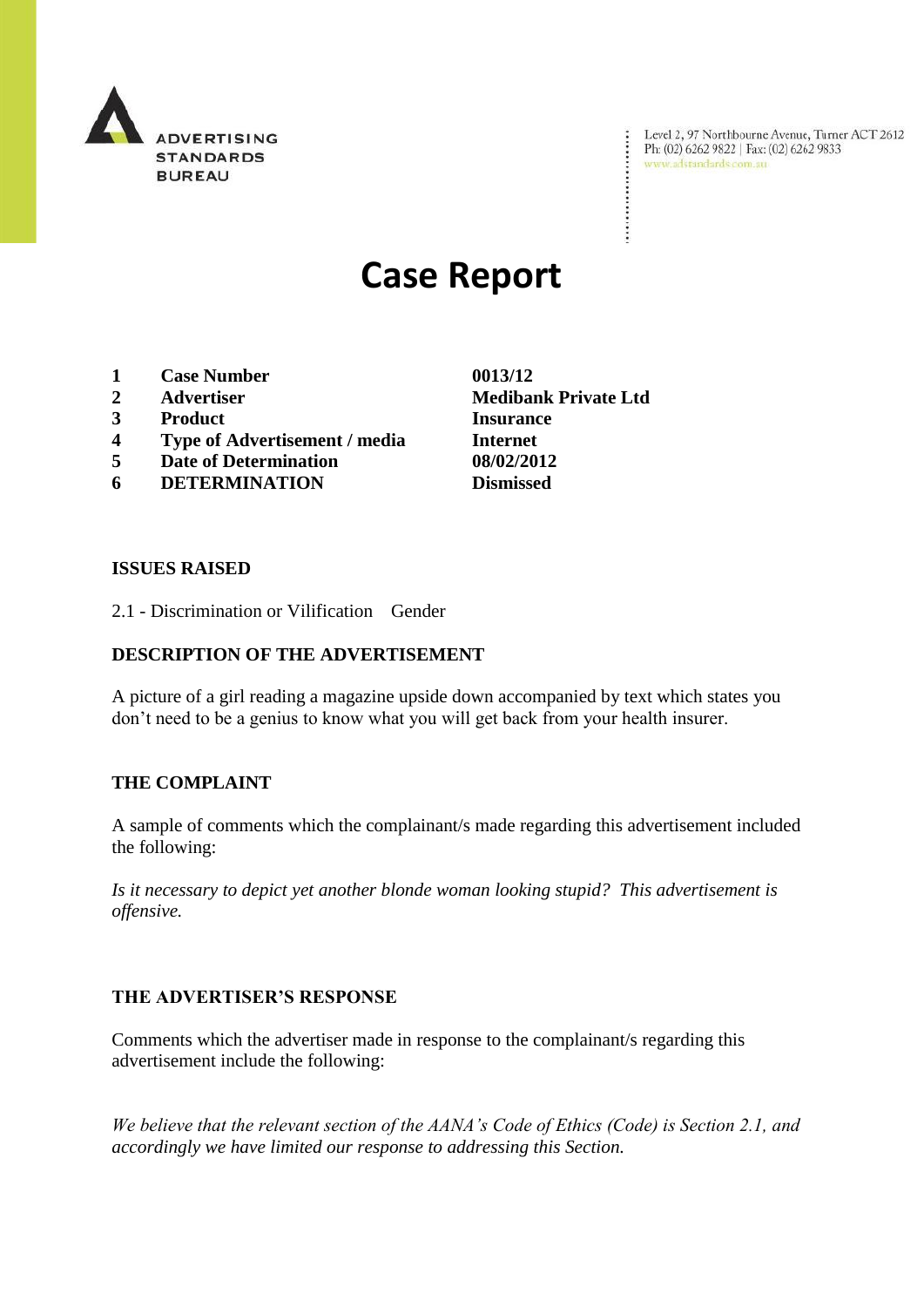

Level 2, 97 Northbourne Avenue, Turner ACT 2612<br>Ph: (02) 6262 9822 | Fax: (02) 6262 9833<br>www.adstandards.com.au

# **Case Report**

- **1 Case Number 0013/12**
- 
- **3 Product Insurance**
- **4 Type of Advertisement / media Internet**
- **5 Date of Determination 08/02/2012**
- **6 DETERMINATION Dismissed**

**ISSUES RAISED**

2.1 - Discrimination or Vilification Gender

## **DESCRIPTION OF THE ADVERTISEMENT**

A picture of a girl reading a magazine upside down accompanied by text which states you don"t need to be a genius to know what you will get back from your health insurer.

## **THE COMPLAINT**

A sample of comments which the complainant/s made regarding this advertisement included the following:

*Is it necessary to depict yet another blonde woman looking stupid? This advertisement is offensive.*

## **THE ADVERTISER'S RESPONSE**

Comments which the advertiser made in response to the complainant/s regarding this advertisement include the following:

*We believe that the relevant section of the AANA's Code of Ethics (Code) is Section 2.1, and accordingly we have limited our response to addressing this Section.*

**2 Advertiser Medibank Private Ltd**

÷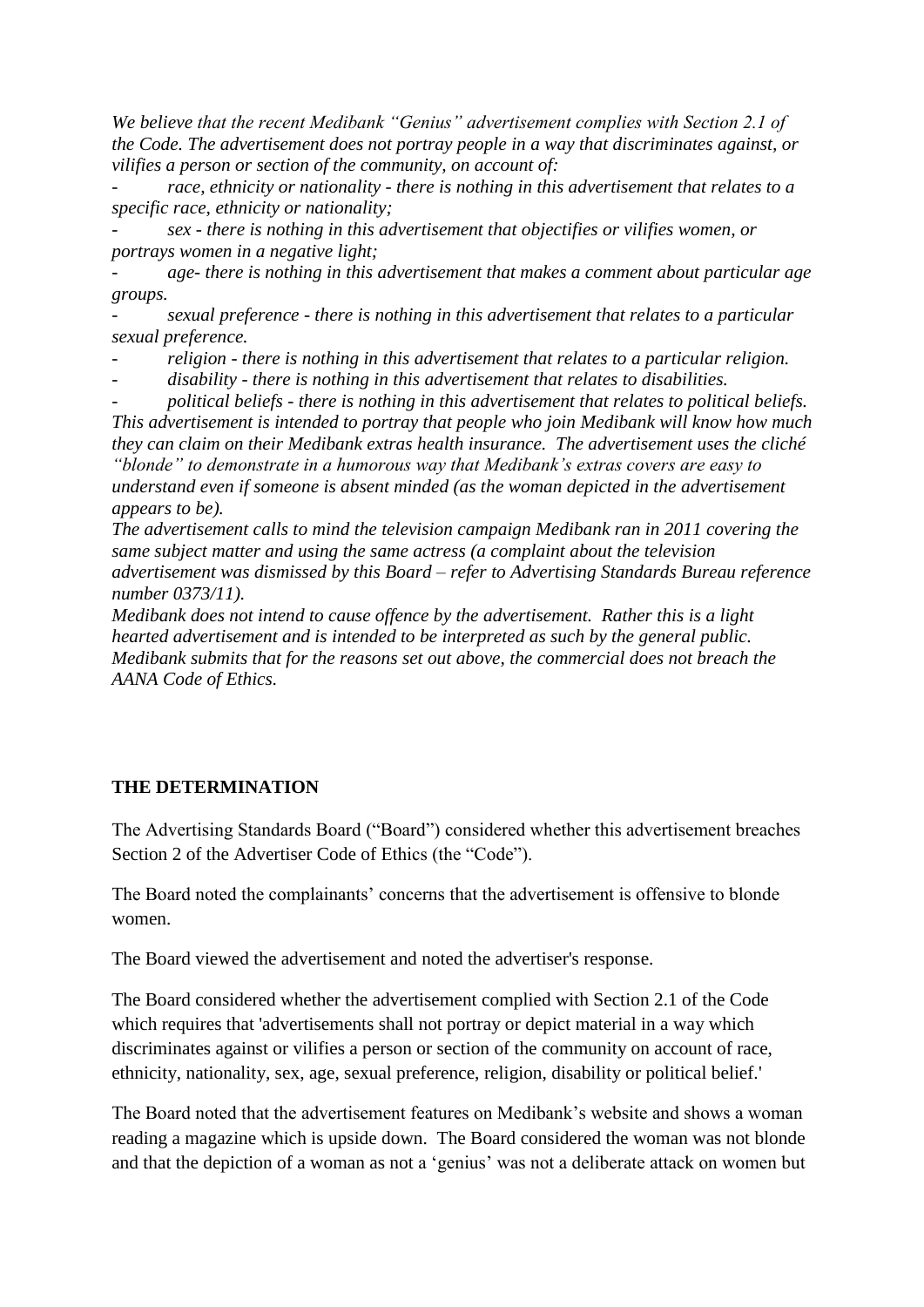*We believe that the recent Medibank "Genius" advertisement complies with Section 2.1 of the Code. The advertisement does not portray people in a way that discriminates against, or vilifies a person or section of the community, on account of:*

*- race, ethnicity or nationality - there is nothing in this advertisement that relates to a specific race, ethnicity or nationality;*

*- sex - there is nothing in this advertisement that objectifies or vilifies women, or portrays women in a negative light;*

*- age- there is nothing in this advertisement that makes a comment about particular age groups.*

*- sexual preference - there is nothing in this advertisement that relates to a particular sexual preference.*

*- religion - there is nothing in this advertisement that relates to a particular religion.*

*- disability - there is nothing in this advertisement that relates to disabilities.*

*- political beliefs - there is nothing in this advertisement that relates to political beliefs. This advertisement is intended to portray that people who join Medibank will know how much they can claim on their Medibank extras health insurance. The advertisement uses the cliché* 

*"blonde" to demonstrate in a humorous way that Medibank's extras covers are easy to understand even if someone is absent minded (as the woman depicted in the advertisement appears to be).* 

*The advertisement calls to mind the television campaign Medibank ran in 2011 covering the same subject matter and using the same actress (a complaint about the television advertisement was dismissed by this Board – refer to Advertising Standards Bureau reference number 0373/11).*

*Medibank does not intend to cause offence by the advertisement. Rather this is a light hearted advertisement and is intended to be interpreted as such by the general public. Medibank submits that for the reasons set out above, the commercial does not breach the AANA Code of Ethics.*

# **THE DETERMINATION**

The Advertising Standards Board ("Board") considered whether this advertisement breaches Section 2 of the Advertiser Code of Ethics (the "Code").

The Board noted the complainants' concerns that the advertisement is offensive to blonde women.

The Board viewed the advertisement and noted the advertiser's response.

The Board considered whether the advertisement complied with Section 2.1 of the Code which requires that 'advertisements shall not portray or depict material in a way which discriminates against or vilifies a person or section of the community on account of race, ethnicity, nationality, sex, age, sexual preference, religion, disability or political belief.'

The Board noted that the advertisement features on Medibank"s website and shows a woman reading a magazine which is upside down. The Board considered the woman was not blonde and that the depiction of a woman as not a 'genius' was not a deliberate attack on women but